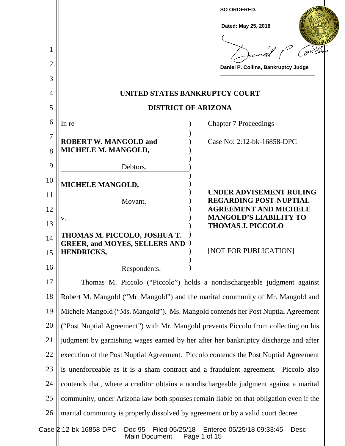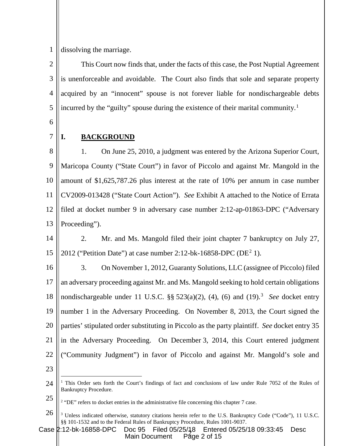1 dissolving the marriage.

 $\mathcal{D}_{\mathcal{L}}$ 3 4 5 This Court now finds that, under the facts of this case, the Post Nuptial Agreement is unenforceable and avoidable. The Court also finds that sole and separate property acquired by an "innocent" spouse is not forever liable for nondischargeable debts incurred by the "guilty" spouse during the existence of their marital community. [1](#page-1-0)

6

7

## **I. BACKGROUND**

8 9 10 11 12 13 1. On June 25, 2010, a judgment was entered by the Arizona Superior Court, Maricopa County ("State Court") in favor of Piccolo and against Mr. Mangold in the amount of \$1,625,787.26 plus interest at the rate of 10% per annum in case number CV2009-013428 ("State Court Action"). *See* Exhibit A attached to the Notice of Errata filed at docket number 9 in adversary case number 2:12-ap-01863-DPC ("Adversary Proceeding").

14 15 2. Mr. and Ms. Mangold filed their joint chapter 7 bankruptcy on July 27, [2](#page-1-1)012 ("Petition Date") at case number 2:12-bk-16858-DPC (DE<sup>2</sup> 1).

16 17 18 19 20 21 22 23 3. On November 1, 2012, Guaranty Solutions, LLC (assignee of Piccolo) filed an adversary proceeding against Mr. and Ms. Mangold seeking to hold certain obligations nondischargeable under 11 U.S.C.  $\S$ § 52[3](#page-1-2)(a)(2), (4), (6) and (19).<sup>3</sup> See docket entry number 1 in the Adversary Proceeding. On November 8, 2013, the Court signed the parties' stipulated order substituting in Piccolo as the party plaintiff. *See* docket entry 35 in the Adversary Proceeding. On December 3, 2014, this Court entered judgment ("Community Judgment") in favor of Piccolo and against Mr. Mangold's sole and

<span id="page-1-2"></span>Page 2 of  $15$ Case 2:12-bk-16858-DPC Doc 95 Filed 05/25/18 Entered 05/25/18 09:33:45 Desc Main Document

<span id="page-1-0"></span><sup>24</sup> <sup>1</sup> This Order sets forth the Court's findings of fact and conclusions of law under Rule 7052 of the Rules of Bankruptcy Procedure.

<span id="page-1-1"></span><sup>25</sup> <sup>2</sup> "DE" refers to docket entries in the administrative file concerning this chapter 7 case.

<sup>26</sup> <sup>3</sup> Unless indicated otherwise, statutory citations herein refer to the U.S. Bankruptcy Code ("Code"), 11 U.S.C. §§ 101-1532 and to the Federal Rules of Bankruptcy Procedure, Rules 1001-9037.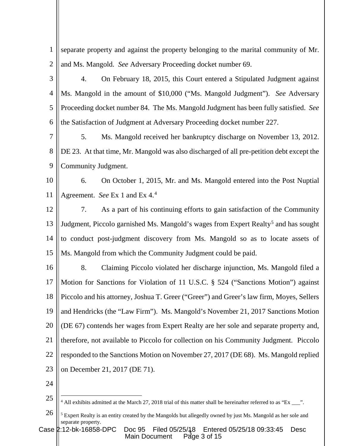| 1              | separate property and against the property belonging to the marital community of Mr.                                        |
|----------------|-----------------------------------------------------------------------------------------------------------------------------|
| $\mathbf{2}$   | and Ms. Mangold. See Adversary Proceeding docket number 69.                                                                 |
| 3              | 4.<br>On February 18, 2015, this Court entered a Stipulated Judgment against                                                |
| $\overline{4}$ | Ms. Mangold in the amount of \$10,000 ("Ms. Mangold Judgment"). See Adversary                                               |
| 5              | Proceeding docket number 84. The Ms. Mangold Judgment has been fully satisfied. See                                         |
| 6              | the Satisfaction of Judgment at Adversary Proceeding docket number 227.                                                     |
| $\overline{7}$ | 5.<br>Ms. Mangold received her bankruptcy discharge on November 13, 2012.                                                   |
| 8              | DE 23. At that time, Mr. Mangold was also discharged of all pre-petition debt except the                                    |
| 9              | Community Judgment.                                                                                                         |
| 10             | 6.<br>On October 1, 2015, Mr. and Ms. Mangold entered into the Post Nuptial                                                 |
| 11             | Agreement. See Ex 1 and Ex $4.4$                                                                                            |
| 12             | As a part of his continuing efforts to gain satisfaction of the Community<br>7.                                             |
| 13             | Judgment, Piccolo garnished Ms. Mangold's wages from Expert Realty <sup>5</sup> and has sought                              |
| 14             | to conduct post-judgment discovery from Ms. Mangold so as to locate assets of                                               |
| 15             | Ms. Mangold from which the Community Judgment could be paid.                                                                |
| 16             | 8.<br>Claiming Piccolo violated her discharge injunction, Ms. Mangold filed a                                               |
| 17             | Motion for Sanctions for Violation of 11 U.S.C. § 524 ("Sanctions Motion") against                                          |
| 18             | Piccolo and his attorney, Joshua T. Greer ("Greer") and Greer's law firm, Moyes, Sellers                                    |
| 19             | and Hendricks (the "Law Firm"). Ms. Mangold's November 21, 2017 Sanctions Motion                                            |
| 20             | (DE 67) contends her wages from Expert Realty are her sole and separate property and,                                       |
| 21             | therefore, not available to Piccolo for collection on his Community Judgment. Piccolo                                       |
| 22             | responded to the Sanctions Motion on November 27, 2017 (DE 68). Ms. Mangold replied                                         |
| 23             | on December 21, 2017 (DE 71).                                                                                               |
| 24             |                                                                                                                             |
| 25             | <sup>4</sup> All exhibits admitted at the March 27, 2018 trial of this matter shall be hereinafter referred to as "Ex ___". |
| 26             | <sup>5</sup> Expert Realty is an entity created by the Mangolds but allegedly owned by just Ms. Mangold as her sole and     |

<span id="page-2-1"></span><span id="page-2-0"></span>Case 2:12-bk-16858-DPC Doc 95 Filed 05/25/18 Entered 05/25/18 09:33:45 Desc Main Document Page 3 of 15

separate property.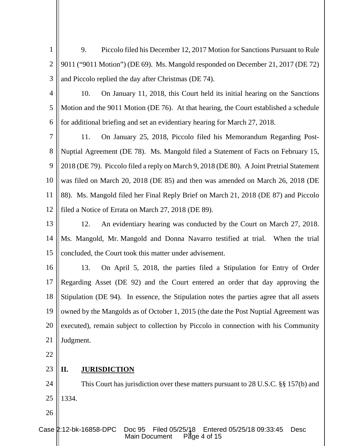1  $\mathcal{D}_{\mathcal{L}}$ 3 9. Piccolo filed his December 12, 2017 Motion for Sanctions Pursuant to Rule 9011 ("9011 Motion") (DE 69). Ms. Mangold responded on December 21, 2017 (DE 72) and Piccolo replied the day after Christmas (DE 74).

4

5 6 10. On January 11, 2018, this Court held its initial hearing on the Sanctions Motion and the 9011 Motion (DE 76). At that hearing, the Court established a schedule for additional briefing and set an evidentiary hearing for March 27, 2018.

7 8 9 10 11 12 11. On January 25, 2018, Piccolo filed his Memorandum Regarding Post-Nuptial Agreement (DE 78). Ms. Mangold filed a Statement of Facts on February 15, 2018 (DE 79). Piccolo filed a reply on March 9, 2018 (DE 80). A Joint Pretrial Statement was filed on March 20, 2018 (DE 85) and then was amended on March 26, 2018 (DE 88). Ms. Mangold filed her Final Reply Brief on March 21, 2018 (DE 87) and Piccolo filed a Notice of Errata on March 27, 2018 (DE 89).

13 14 15 12. An evidentiary hearing was conducted by the Court on March 27, 2018. Ms. Mangold, Mr. Mangold and Donna Navarro testified at trial. When the trial concluded, the Court took this matter under advisement.

16 17 18 19 20 21 13. On April 5, 2018, the parties filed a Stipulation for Entry of Order Regarding Asset (DE 92) and the Court entered an order that day approving the Stipulation (DE 94). In essence, the Stipulation notes the parties agree that all assets owned by the Mangolds as of October 1, 2015 (the date the Post Nuptial Agreement was executed), remain subject to collection by Piccolo in connection with his Community Judgment.

22

26

### 23 **II. JURISDICTION**

24 25 This Court has jurisdiction over these matters pursuant to 28 U.S.C. §§ 157(b) and 1334.

 $P\bar{d}$ ge 4 of 15 Case 2:12-bk-16858-DPC Doc 95 Filed 05/25/18 Entered 05/25/18 09:33:45 Desc Main Document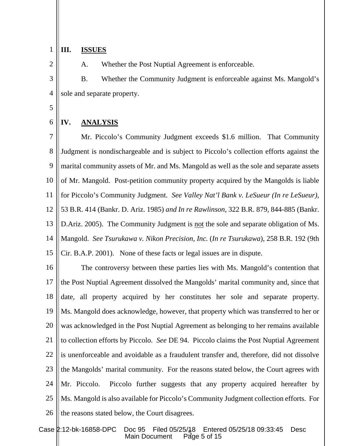#### 1 **III. ISSUES**

A. Whether the Post Nuptial Agreement is enforceable.

3 4 B. Whether the Community Judgment is enforceable against Ms. Mangold's sole and separate property.

5

6

2

## **IV. ANALYSIS**

7 8 9 10 11 12 13 14 15 Mr. Piccolo's Community Judgment exceeds \$1.6 million. That Community Judgment is nondischargeable and is subject to Piccolo's collection efforts against the marital community assets of Mr. and Ms. Mangold as well as the sole and separate assets of Mr. Mangold. Post-petition community property acquired by the Mangolds is liable for Piccolo's Community Judgment. *See Valley Nat'l Bank v. LeSueur (In re LeSueur),*  53 B.R. 414 (Bankr. D. Ariz. 1985) *and In re Rawlinson*, 322 B.R. 879, 844-885 (Bankr. D.Ariz. 2005). The Community Judgment is not the sole and separate obligation of Ms. Mangold. *See Tsurukawa v. Nikon Precision, Inc.* (*In re Tsurukawa*), 258 B.R. 192 (9th Cir. B.A.P. 2001). None of these facts or legal issues are in dispute.

16 17 18 19 20 21 22 23 24 25 26 The controversy between these parties lies with Ms. Mangold's contention that the Post Nuptial Agreement dissolved the Mangolds' marital community and, since that date, all property acquired by her constitutes her sole and separate property. Ms. Mangold does acknowledge, however, that property which was transferred to her or was acknowledged in the Post Nuptial Agreement as belonging to her remains available to collection efforts by Piccolo. *See* DE 94. Piccolo claims the Post Nuptial Agreement is unenforceable and avoidable as a fraudulent transfer and, therefore, did not dissolve the Mangolds' marital community. For the reasons stated below, the Court agrees with Mr. Piccolo. Piccolo further suggests that any property acquired hereafter by Ms. Mangold is also available for Piccolo's Community Judgment collection efforts. For the reasons stated below, the Court disagrees.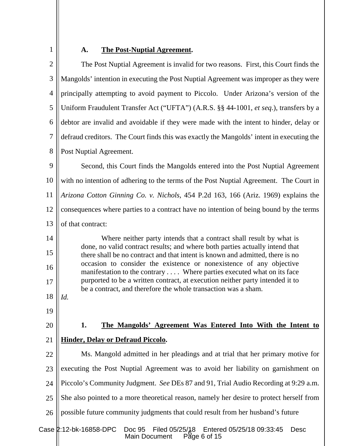| ٧ |  |
|---|--|
|   |  |
|   |  |

# **A. The Post-Nuptial Agreement.**

| $\mathbf{2}$   | The Post Nuptial Agreement is invalid for two reasons. First, this Court finds the                                                                            |  |  |  |
|----------------|---------------------------------------------------------------------------------------------------------------------------------------------------------------|--|--|--|
| 3              | Mangolds' intention in executing the Post Nuptial Agreement was improper as they were                                                                         |  |  |  |
| $\overline{4}$ | principally attempting to avoid payment to Piccolo. Under Arizona's version of the                                                                            |  |  |  |
| 5              | Uniform Fraudulent Transfer Act ("UFTA") (A.R.S. §§ 44-1001, et seq.), transfers by a                                                                         |  |  |  |
| 6              | debtor are invalid and avoidable if they were made with the intent to hinder, delay or                                                                        |  |  |  |
| $\overline{7}$ | defraud creditors. The Court finds this was exactly the Mangolds' intent in executing the                                                                     |  |  |  |
| 8              | Post Nuptial Agreement.                                                                                                                                       |  |  |  |
| 9              | Second, this Court finds the Mangolds entered into the Post Nuptial Agreement                                                                                 |  |  |  |
| 10             | with no intention of adhering to the terms of the Post Nuptial Agreement. The Court in                                                                        |  |  |  |
| 11             | Arizona Cotton Ginning Co. v. Nichols, 454 P.2d 163, 166 (Ariz. 1969) explains the                                                                            |  |  |  |
| 12             | consequences where parties to a contract have no intention of being bound by the terms                                                                        |  |  |  |
| 13             | of that contract:                                                                                                                                             |  |  |  |
| 14             | Where neither party intends that a contract shall result by what is                                                                                           |  |  |  |
| 15             | done, no valid contract results; and where both parties actually intend that<br>there shall be no contract and that intent is known and admitted, there is no |  |  |  |
| 16             | occasion to consider the existence or nonexistence of any objective<br>manifestation to the contrary  Where parties executed what on its face                 |  |  |  |
| 17             | purported to be a written contract, at execution neither party intended it to<br>be a contract, and therefore the whole transaction was a sham.               |  |  |  |
| 18             | Id.                                                                                                                                                           |  |  |  |
| 19             |                                                                                                                                                               |  |  |  |
| 20             | 1.<br>The Mangolds' Agreement Was Entered Into With the Intent to                                                                                             |  |  |  |
| 21             | <b>Hinder, Delay or Defraud Piccolo.</b>                                                                                                                      |  |  |  |
| 22             | Ms. Mangold admitted in her pleadings and at trial that her primary motive for                                                                                |  |  |  |
| 23             | executing the Post Nuptial Agreement was to avoid her liability on garnishment on                                                                             |  |  |  |
| 24             | Piccolo's Community Judgment. See DEs 87 and 91, Trial Audio Recording at 9:29 a.m.                                                                           |  |  |  |
| 25             | She also pointed to a more theoretical reason, namely her desire to protect herself from                                                                      |  |  |  |
| 26             | possible future community judgments that could result from her husband's future                                                                               |  |  |  |
|                | Case 2:12-bk-16858-DPC<br><b>Doc 95</b><br>Filed 05/25/18<br>Entered 05/25/18 09:33:45<br><b>Desc</b><br>Page 6 of 15<br><b>Main Document</b>                 |  |  |  |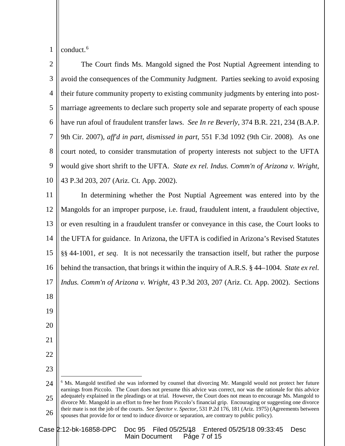1 conduct.<sup>[6](#page-6-0)</sup>

22

23

2 3 4 5 6 7 8 9 10 The Court finds Ms. Mangold signed the Post Nuptial Agreement intending to avoid the consequences of the Community Judgment. Parties seeking to avoid exposing their future community property to existing community judgments by entering into postmarriage agreements to declare such property sole and separate property of each spouse have run afoul of fraudulent transfer laws. *See In re Beverly*, 374 B.R. 221, 234 (B.A.P. 9th Cir. 2007), *aff'd in part, dismissed in part*, 551 F.3d 1092 (9th Cir. 2008). As one court noted, to consider transmutation of property interests not subject to the UFTA would give short shrift to the UFTA. *State ex rel. Indus. Comm'n of Arizona v. Wright*, 43 P.3d 203, 207 (Ariz. Ct. App. 2002).

11 12 13 14 15 16 17 18 19 20 21 In determining whether the Post Nuptial Agreement was entered into by the Mangolds for an improper purpose, i.e. fraud, fraudulent intent, a fraudulent objective, or even resulting in a fraudulent transfer or conveyance in this case, the Court looks to the UFTA for guidance. In Arizona, the UFTA is codified in Arizona's Revised Statutes §§ 44-1001, *et seq*. It is not necessarily the transaction itself, but rather the purpose behind the transaction, that brings it within the inquiry of A.R.S. § 44–1004. *State ex rel. Indus. Comm'n of Arizona v. Wright*, 43 P.3d 203, 207 (Ariz. Ct. App. 2002). Sections

<span id="page-6-0"></span><sup>24</sup> 25 26 <sup>6</sup> Ms. Mangold testified she was informed by counsel that divorcing Mr. Mangold would not protect her future earnings from Piccolo. The Court does not presume this advice was correct, nor was the rationale for this advice adequately explained in the pleadings or at trial. However, the Court does not mean to encourage Ms. Mangold to divorce Mr. Mangold in an effort to free her from Piccolo's financial grip. Encouraging or suggesting one divorce their mate is not the job of the courts. *See Spector v. Spector*, 531 P.2d 176, 181 (Ariz. 1975) (Agreements between spouses that provide for or tend to induce divorce or separation, are contrary to public policy).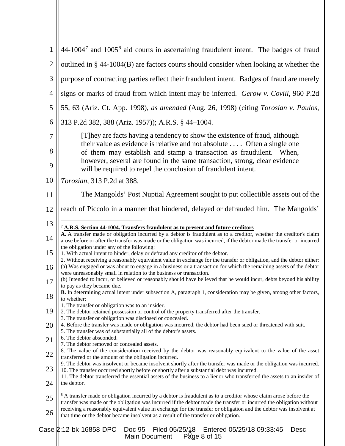<span id="page-7-0"></span>

| $\mathbf{1}$   | $44-10047$ and $10058$ aid courts in ascertaining fraudulent intent. The badges of fraud                                                                                                                                                                                                                           |  |  |  |
|----------------|--------------------------------------------------------------------------------------------------------------------------------------------------------------------------------------------------------------------------------------------------------------------------------------------------------------------|--|--|--|
| $\overline{2}$ | outlined in § 44-1004(B) are factors courts should consider when looking at whether the                                                                                                                                                                                                                            |  |  |  |
| 3              | purpose of contracting parties reflect their fraudulent intent. Badges of fraud are merely                                                                                                                                                                                                                         |  |  |  |
| $\overline{4}$ | signs or marks of fraud from which intent may be inferred. Gerow v. Covill, 960 P.2d                                                                                                                                                                                                                               |  |  |  |
| 5              | 55, 63 (Ariz. Ct. App. 1998), as amended (Aug. 26, 1998) (citing Torosian v. Paulos,                                                                                                                                                                                                                               |  |  |  |
| 6              | 313 P.2d 382, 388 (Ariz. 1957)); A.R.S. § 44-1004.                                                                                                                                                                                                                                                                 |  |  |  |
| 7              | [T] hey are facts having a tendency to show the existence of fraud, although                                                                                                                                                                                                                                       |  |  |  |
| 8              | their value as evidence is relative and not absolute Often a single one<br>of them may establish and stamp a transaction as fraudulent. When,                                                                                                                                                                      |  |  |  |
| 9              | however, several are found in the same transaction, strong, clear evidence<br>will be required to repel the conclusion of fraudulent intent.                                                                                                                                                                       |  |  |  |
| 10             | Torosian, 313 P.2d at 388.                                                                                                                                                                                                                                                                                         |  |  |  |
| 11             | The Mangolds' Post Nuptial Agreement sought to put collectible assets out of the                                                                                                                                                                                                                                   |  |  |  |
| 12             | reach of Piccolo in a manner that hindered, delayed or defrauded him. The Mangolds'                                                                                                                                                                                                                                |  |  |  |
| 13             | $7$ A.R.S. Section 44-1004. Transfers fraudulent as to present and future creditors                                                                                                                                                                                                                                |  |  |  |
| 14             | A. A transfer made or obligation incurred by a debtor is fraudulent as to a creditor, whether the creditor's claim<br>arose before or after the transfer was made or the obligation was incurred, if the debtor made the transfer or incurred                                                                      |  |  |  |
| 15             | the obligation under any of the following:<br>1. With actual intent to hinder, delay or defraud any creditor of the debtor.                                                                                                                                                                                        |  |  |  |
| 16             | 2. Without receiving a reasonably equivalent value in exchange for the transfer or obligation, and the debtor either:<br>(a) Was engaged or was about to engage in a business or a transaction for which the remaining assets of the debtor<br>were unreasonably small in relation to the business or transaction. |  |  |  |
| 17             | (b) Intended to incur, or believed or reasonably should have believed that he would incur, debts beyond his ability<br>to pay as they became due.                                                                                                                                                                  |  |  |  |
| 18             | <b>B.</b> In determining actual intent under subsection A, paragraph 1, consideration may be given, among other factors,<br>to whether:                                                                                                                                                                            |  |  |  |
| 19             | 1. The transfer or obligation was to an insider.<br>2. The debtor retained possession or control of the property transferred after the transfer.<br>3. The transfer or obligation was disclosed or concealed.                                                                                                      |  |  |  |
| 20             | 4. Before the transfer was made or obligation was incurred, the debtor had been sued or threatened with suit.<br>5. The transfer was of substantially all of the debtor's assets.                                                                                                                                  |  |  |  |
| 21             | 6. The debtor absconded.<br>7. The debtor removed or concealed assets.                                                                                                                                                                                                                                             |  |  |  |
| 22             | 8. The value of the consideration received by the debtor was reasonably equivalent to the value of the asset<br>transferred or the amount of the obligation incurred.                                                                                                                                              |  |  |  |
| 23             | 9. The debtor was insolvent or became insolvent shortly after the transfer was made or the obligation was incurred.<br>10. The transfer occurred shortly before or shortly after a substantial debt was incurred.                                                                                                  |  |  |  |
| 24             | 11. The debtor transferred the essential assets of the business to a lienor who transferred the assets to an insider of<br>the debtor.                                                                                                                                                                             |  |  |  |
| 25             | <sup>8</sup> A transfer made or obligation incurred by a debtor is fraudulent as to a creditor whose claim arose before the<br>transfer was made or the obligation was incurred if the debtor made the transfer or incurred the obligation without                                                                 |  |  |  |
| 26             | receiving a reasonably equivalent value in exchange for the transfer or obligation and the debtor was insolvent at<br>that time or the debtor became insolvent as a result of the transfer or obligation.                                                                                                          |  |  |  |
|                | Case 2:12-bk-16858-DPC<br>Doc 95<br>Filed 05/25/18 Entered 05/25/18 09:33:45<br>Desc<br>Main Document $P_{\text{max}}$ 8 of 15                                                                                                                                                                                     |  |  |  |

<span id="page-7-1"></span>Main Document Page 8 of 15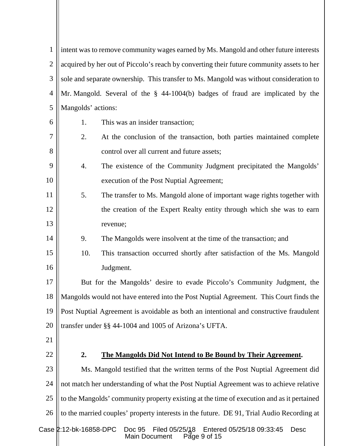| $\mathbf{1}$   | intent was to remove community wages earned by Ms. Mangold and other future interests                                          |  |  |
|----------------|--------------------------------------------------------------------------------------------------------------------------------|--|--|
| $\overline{2}$ | acquired by her out of Piccolo's reach by converting their future community assets to her                                      |  |  |
| 3              | sole and separate ownership. This transfer to Ms. Mangold was without consideration to                                         |  |  |
| $\overline{4}$ | Mr. Mangold. Several of the § 44-1004(b) badges of fraud are implicated by the                                                 |  |  |
| 5              | Mangolds' actions:                                                                                                             |  |  |
| 6              | 1.<br>This was an insider transaction;                                                                                         |  |  |
| $\overline{7}$ | 2.<br>At the conclusion of the transaction, both parties maintained complete                                                   |  |  |
| 8              | control over all current and future assets;                                                                                    |  |  |
| 9              | 4.<br>The existence of the Community Judgment precipitated the Mangolds'                                                       |  |  |
| 10             | execution of the Post Nuptial Agreement;                                                                                       |  |  |
| 11             | 5.<br>The transfer to Ms. Mangold alone of important wage rights together with                                                 |  |  |
| 12             | the creation of the Expert Realty entity through which she was to earn                                                         |  |  |
| 13             | revenue;                                                                                                                       |  |  |
| 14             | 9.<br>The Mangolds were insolvent at the time of the transaction; and                                                          |  |  |
| 15             | 10.<br>This transaction occurred shortly after satisfaction of the Ms. Mangold                                                 |  |  |
| 16             | Judgment.                                                                                                                      |  |  |
| 17             | But for the Mangolds' desire to evade Piccolo's Community Judgment, the                                                        |  |  |
| 18             | Mangolds would not have entered into the Post Nuptial Agreement. This Court finds the                                          |  |  |
| 19             | Post Nuptial Agreement is avoidable as both an intentional and constructive fraudulent                                         |  |  |
| 20             | transfer under §§ 44-1004 and 1005 of Arizona's UFTA.                                                                          |  |  |
| 21             |                                                                                                                                |  |  |
| 22             | 2.<br>The Mangolds Did Not Intend to Be Bound by Their Agreement.                                                              |  |  |
| 23             | Ms. Mangold testified that the written terms of the Post Nuptial Agreement did                                                 |  |  |
| 24             | not match her understanding of what the Post Nuptial Agreement was to achieve relative                                         |  |  |
| 25             | to the Mangolds' community property existing at the time of execution and as it pertained                                      |  |  |
| 26             | to the married couples' property interests in the future. DE 91, Trial Audio Recording at                                      |  |  |
|                | Case 2:12-bk-16858-DPC<br>Filed 05/25/48 Entered 05/25/18 09:33:45<br>Doc 95<br><b>Desc</b><br>Page 9 of $15$<br>Main Document |  |  |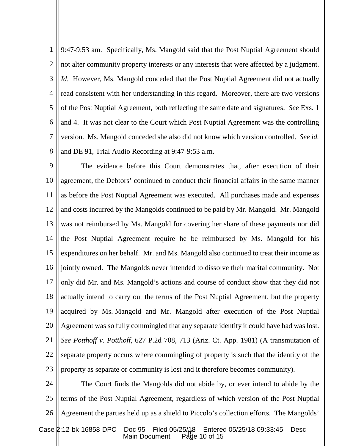1  $\mathcal{D}_{\mathcal{L}}$ 3 4 5 6 7 8 9:47-9:53 am. Specifically, Ms. Mangold said that the Post Nuptial Agreement should not alter community property interests or any interests that were affected by a judgment. *Id*. However, Ms. Mangold conceded that the Post Nuptial Agreement did not actually read consistent with her understanding in this regard. Moreover, there are two versions of the Post Nuptial Agreement, both reflecting the same date and signatures. *See* Exs. 1 and 4. It was not clear to the Court which Post Nuptial Agreement was the controlling version. Ms. Mangold conceded she also did not know which version controlled. *See id.* and DE 91, Trial Audio Recording at 9:47-9:53 a.m.

9 10 11 12 13 14 15 16 17 18 19 20 21 22 23 The evidence before this Court demonstrates that, after execution of their agreement, the Debtors' continued to conduct their financial affairs in the same manner as before the Post Nuptial Agreement was executed. All purchases made and expenses and costs incurred by the Mangolds continued to be paid by Mr. Mangold. Mr. Mangold was not reimbursed by Ms. Mangold for covering her share of these payments nor did the Post Nuptial Agreement require he be reimbursed by Ms. Mangold for his expenditures on her behalf. Mr. and Ms. Mangold also continued to treat their income as jointly owned. The Mangolds never intended to dissolve their marital community. Not only did Mr. and Ms. Mangold's actions and course of conduct show that they did not actually intend to carry out the terms of the Post Nuptial Agreement, but the property acquired by Ms. Mangold and Mr. Mangold after execution of the Post Nuptial Agreement was so fully commingled that any separate identity it could have had was lost. *See Potthoff v. Potthoff*, 627 P.2d 708, 713 (Ariz. Ct. App. 1981) (A transmutation of separate property occurs where commingling of property is such that the identity of the property as separate or community is lost and it therefore becomes community).

Filed 05/25/18 Entered<br>ument Page 10 of 15 24 25 26 The Court finds the Mangolds did not abide by, or ever intend to abide by the terms of the Post Nuptial Agreement, regardless of which version of the Post Nuptial Agreement the parties held up as a shield to Piccolo's collection efforts. The Mangolds' Case 2:12-bk-16858-DPC Doc 95 Filed 05/25/18 Entered 05/25/18 09:33:45 Desc

Main Document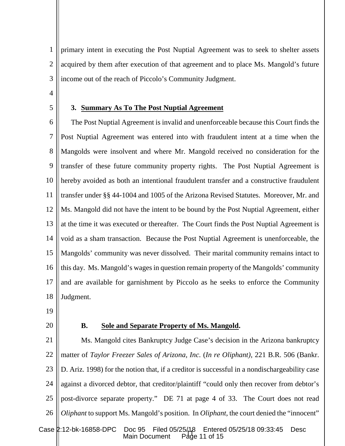1  $\mathcal{D}_{\mathcal{L}}$ 3 primary intent in executing the Post Nuptial Agreement was to seek to shelter assets acquired by them after execution of that agreement and to place Ms. Mangold's future income out of the reach of Piccolo's Community Judgment.

4

5

## **3. Summary As To The Post Nuptial Agreement**

6 7 8 9 10 11 12 13 14 15 16 17 18 The Post Nuptial Agreement is invalid and unenforceable because this Court finds the Post Nuptial Agreement was entered into with fraudulent intent at a time when the Mangolds were insolvent and where Mr. Mangold received no consideration for the transfer of these future community property rights. The Post Nuptial Agreement is hereby avoided as both an intentional fraudulent transfer and a constructive fraudulent transfer under §§ 44-1004 and 1005 of the Arizona Revised Statutes. Moreover, Mr. and Ms. Mangold did not have the intent to be bound by the Post Nuptial Agreement, either at the time it was executed or thereafter. The Court finds the Post Nuptial Agreement is void as a sham transaction. Because the Post Nuptial Agreement is unenforceable, the Mangolds' community was never dissolved. Their marital community remains intact to this day. Ms. Mangold's wages in question remain property of the Mangolds' community and are available for garnishment by Piccolo as he seeks to enforce the Community Judgment.

- 19
- 20

### **B. Sole and Separate Property of Ms. Mangold.**

Page 11 of 15 21 22 23 24 25 26 Ms. Mangold cites Bankruptcy Judge Case's decision in the Arizona bankruptcy matter of *Taylor Freezer Sales of Arizona, Inc.* (*In re Oliphant),* 221 B.R. 506 (Bankr. D. Ariz. 1998) for the notion that, if a creditor is successful in a nondischargeability case against a divorced debtor, that creditor/plaintiff "could only then recover from debtor's post-divorce separate property." DE 71 at page 4 of 33. The Court does not read *Oliphant* to support Ms. Mangold's position. In *Oliphant*, the court denied the "innocent" Case 2:12-bk-16858-DPC Doc 95 Filed 05/25/18 Entered 05/25/18 09:33:45 Desc Main Document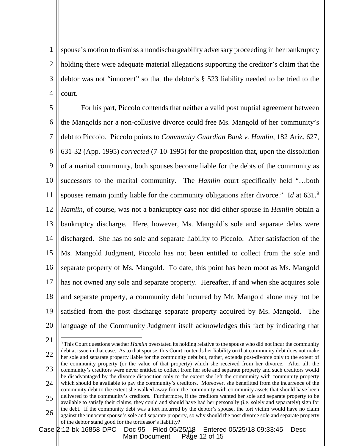1  $\mathcal{D}_{\mathcal{L}}$ 3 4 spouse's motion to dismiss a nondischargeability adversary proceeding in her bankruptcy holding there were adequate material allegations supporting the creditor's claim that the debtor was not "innocent" so that the debtor's § 523 liability needed to be tried to the court.

5 6 7 8 9 10 11 12 13 14 15 16 17 18 19 20 For his part, Piccolo contends that neither a valid post nuptial agreement between the Mangolds nor a non-collusive divorce could free Ms. Mangold of her community's debt to Piccolo. Piccolo points to *Community Guardian Bank v. Hamlin*, 182 Ariz. 627, 631-32 (App. 1995) *corrected* (7-10-1995) for the proposition that, upon the dissolution of a marital community, both spouses become liable for the debts of the community as successors to the marital community. The *Hamlin* court specifically held "…both spouses remain jointly liable for the community obligations after divorce." I*d* at 631.[9](#page-11-0) *Hamlin*, of course, was not a bankruptcy case nor did either spouse in *Hamlin* obtain a bankruptcy discharge. Here, however, Ms. Mangold's sole and separate debts were discharged. She has no sole and separate liability to Piccolo. After satisfaction of the Ms. Mangold Judgment, Piccolo has not been entitled to collect from the sole and separate property of Ms. Mangold. To date, this point has been moot as Ms. Mangold has not owned any sole and separate property. Hereafter, if and when she acquires sole and separate property, a community debt incurred by Mr. Mangold alone may not be satisfied from the post discharge separate property acquired by Ms. Mangold. The language of the Community Judgment itself acknowledges this fact by indicating that

21

<span id="page-11-0"></span>22 23 24 25 26 9 This Court questions whether *Hamlin* overstated its holding relative to the spouse who did not incur the community debt at issue in that case. As to that spouse, this Court contends her liability on that community debt does not make her sole and separate property liable for the community debt but, rather, extends post-divorce only to the extent of the community property (or the value of that property) which she received from her divorce. After all, the community's creditors were never entitled to collect from her sole and separate property and such creditors would be disadvantaged by the divorce disposition only to the extent she left the community with community property which should be available to pay the community's creditors. Moreover, she benefitted from the incurrence of the community debt to the extent she walked away from the community with community assets that should have been delivered to the community's creditors. Furthermore, if the creditors wanted her sole and separate property to be available to satisfy their claims, they could and should have had her personally (i.e. solely and separately) sign for the debt. If the community debt was a tort incurred by the debtor's spouse, the tort victim would have no claim against the innocent spouse's sole and separate property, so why should the post divorce sole and separate property of the debtor stand good for the tortfeasor's liability?

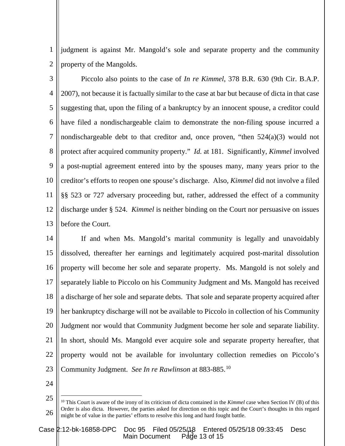1 2 judgment is against Mr. Mangold's sole and separate property and the community property of the Mangolds.

3 4 5 6 7 8 9 10 11 12 13 Piccolo also points to the case of *In re Kimmel*, 378 B.R. 630 (9th Cir. B.A.P. 2007), not because it is factually similar to the case at bar but because of dicta in that case suggesting that, upon the filing of a bankruptcy by an innocent spouse, a creditor could have filed a nondischargeable claim to demonstrate the non-filing spouse incurred a nondischargeable debt to that creditor and, once proven, "then 524(a)(3) would not protect after acquired community property." *Id.* at 181. Significantly, *Kimmel* involved a post-nuptial agreement entered into by the spouses many, many years prior to the creditor's efforts to reopen one spouse's discharge. Also, *Kimmel* did not involve a filed §§ 523 or 727 adversary proceeding but, rather, addressed the effect of a community discharge under § 524. *Kimmel* is neither binding on the Court nor persuasive on issues before the Court.

14 15 16 17 18 19 20 21 22 23 If and when Ms. Mangold's marital community is legally and unavoidably dissolved, thereafter her earnings and legitimately acquired post-marital dissolution property will become her sole and separate property. Ms. Mangold is not solely and separately liable to Piccolo on his Community Judgment and Ms. Mangold has received a discharge of her sole and separate debts. That sole and separate property acquired after her bankruptcy discharge will not be available to Piccolo in collection of his Community Judgment nor would that Community Judgment become her sole and separate liability. In short, should Ms. Mangold ever acquire sole and separate property hereafter, that property would not be available for involuntary collection remedies on Piccolo's Community Judgment. *See In re Rawlinson* at 883-885.[10](#page-12-0) 

24

<span id="page-12-0"></span><sup>25</sup> 26 <sup>10</sup> This Court is aware of the irony of its criticism of dicta contained in the *Kimmel* case when Section IV (B) of this Order is also dicta. However, the parties asked for direction on this topic and the Court's thoughts in this regard might be of value in the parties' efforts to resolve this long and hard fought battle.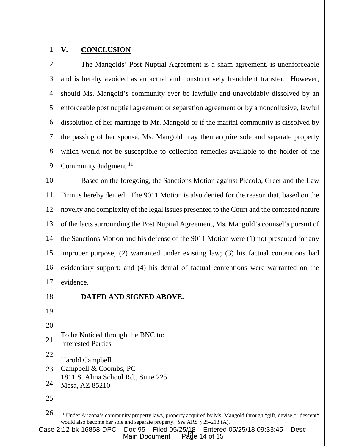### 1 **V. CONCLUSION**

 $\mathcal{D}_{\mathcal{L}}$ 3 4 5 6 7 8 9 The Mangolds' Post Nuptial Agreement is a sham agreement, is unenforceable and is hereby avoided as an actual and constructively fraudulent transfer. However, should Ms. Mangold's community ever be lawfully and unavoidably dissolved by an enforceable post nuptial agreement or separation agreement or by a noncollusive, lawful dissolution of her marriage to Mr. Mangold or if the marital community is dissolved by the passing of her spouse, Ms. Mangold may then acquire sole and separate property which would not be susceptible to collection remedies available to the holder of the Community Judgment.<sup>[11](#page-13-0)</sup>

10 11 12 13 14 15 16 17 Based on the foregoing, the Sanctions Motion against Piccolo, Greer and the Law Firm is hereby denied. The 9011 Motion is also denied for the reason that, based on the novelty and complexity of the legal issues presented to the Court and the contested nature of the facts surrounding the Post Nuptial Agreement, Ms. Mangold's counsel's pursuit of the Sanctions Motion and his defense of the 9011 Motion were (1) not presented for any improper purpose; (2) warranted under existing law; (3) his factual contentions had evidentiary support; and (4) his denial of factual contentions were warranted on the evidence.

18

## **DATED AND SIGNED ABOVE.**

- 19 20
- 21 To be Noticed through the BNC to:
- Interested Parties
- 22 Harold Campbell
- 23 Campbell & Coombs, PC
- 1811 S. Alma School Rd., Suite 225
- 24 Mesa, AZ 85210
- 25

<span id="page-13-0"></span>Page 14 of 15 Case 2:12-bk-16858-DPC Doc 95 Filed 05/25/18 Entered 05/25/18 09:33:45 Desc Main Document

<sup>26</sup> <sup>11</sup> Under Arizona's community property laws, property acquired by Ms. Mangold through "gift, devise or descent" would also become her sole and separate property. *See* ARS § 25-213 (A).